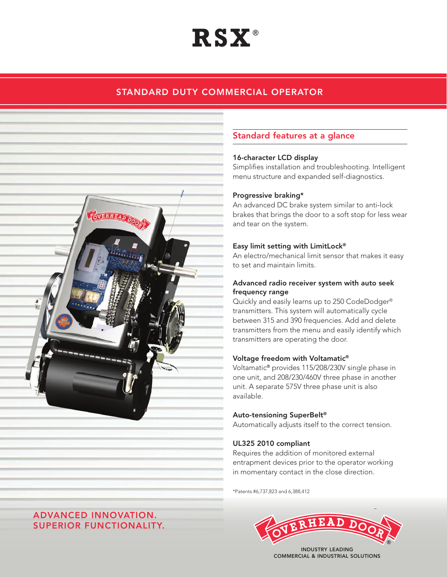# **RSX** ®

## STANDARD DUTY COMMERCIAL OPERATOR



### Standard features at a glance

#### 16-character LCD display

Simplifies installation and troubleshooting. Intelligent menu structure and expanded self-diagnostics.

#### Progressive braking\*

An advanced DC brake system similar to anti-lock brakes that brings the door to a soft stop for less wear and tear on the system.

#### Easy limit setting with LimitLock®

An electro/mechanical limit sensor that makes it easy to set and maintain limits.

#### Advanced radio receiver system with auto seek frequency range

Quickly and easily learns up to 250 CodeDodger® transmitters. This system will automatically cycle between 315 and 390 frequencies. Add and delete transmitters from the menu and easily identify which transmitters are operating the door.

#### Voltage freedom with Voltamatic®

Voltamatic® provides 115/208/230V single phase in one unit, and 208/230/460V three phase in another unit. A separate 575V three phase unit is also available.

#### Auto-tensioning SuperBelt®

Automatically adjusts itself to the correct tension.

#### UL325 2010 compliant

Requires the addition of monitored external entrapment devices prior to the operator working in momentary contact in the close direction.

\*Patents #6,737,823 and 6,388,412



Commercial & Industrial Solutions

## ADVANCED INNOVATION. SUPERIOR FUNCTIONALITY.